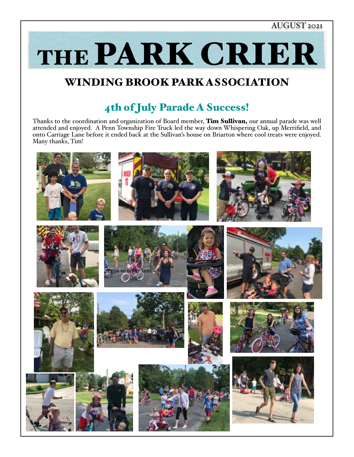### AUGUST 2021

THE PARK CRIER

## WINDING BROOK PARK ASSOCIATION

# 4th of July Parade A Success!

Thanks to the coordination and organization of Board member, Tim Sullivan, our annual parade was well attended and enjoyed. A Penn Township Fire Truck led the way down Whispering Oak, up Merrifield, and onto Carriage Lane before it ended back at the Sullivan's house on Briarton where cool treats were enjoyed. Many thanks, Tim!

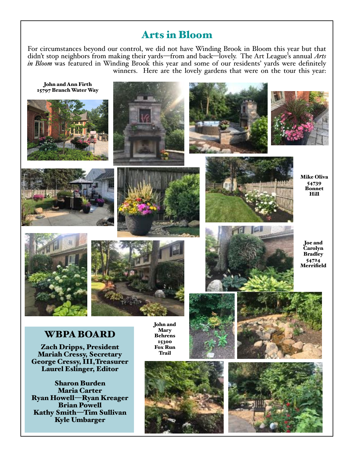## Arts in Bloom

For circumstances beyond our control, we did not have Winding Brook in Bloom this year but that didn't stop neighbors from making their yards—from and back—lovely. The Art League's annual *Arts in Bloom* was featured in Winding Brook this year and some of our residents' yards were definitely winners. Here are the lovely gardens that were on the tour this year:

WBPA BOARD Zach Dripps, President Mariah Cressy, Secretary George Cressy, III,Treasurer Laurel Eslinger, Editor Sharon Burden Maria Carter John and Ann Firth 15797 Branch Water Way Mike Oliva 54739 Bonnet Hill Joe and Carolyn **Bradley** 54724 **Merrifield** John and Mary Behrens 15300 Fox Run Trail

Ryan Howell—Ryan Kreager Brian Powell Kathy Smith—Tim Sullivan Kyle Umbarger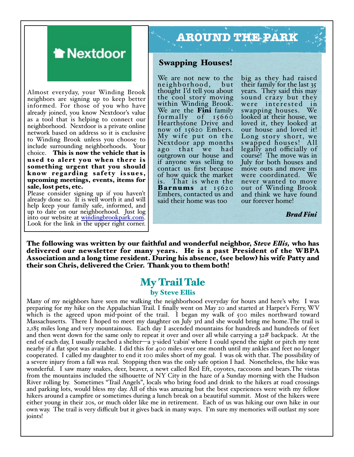

Almost everyday, your Winding Brook neighbors are signing up to keep better informed. For those of you who have already joined, you know Nextdoor's value as a tool that is helping to connect our neighborhood. Nextdoor is a private online network based on address so it is exclusive to Winding Brook unless you choose to include surrounding neighborhoods. Your choice. This is now the vehicle that is used to alert you when there is something urgent that you should know regarding safety issues, upcoming meetings, events, items for sale, lost pets, etc.

Please consider signing up if you haven't already done so. It is well worth it and will help keep your family safe, informed, and up to date on our neighborhood. Just log into our website at [windingbrookpark.com](http://windingbrookpark.com). Look for the link i[n the upper right corner](http://windingbrookpark.com).

# **AROUND THE PARK**

#### Swapping Houses!

We are not new to the<br>neighborhood, but neighborhood, thought I'd tell you about the cool story moving within Winding Brook. We are the **Fini** family formally of  $15660$ Hearthstone Drive and now of 15620 Embers. My wife put on the Nextdoor app months ago that we had outgrown our house and if anyone was selling to contact us first because of how quick the market is. That is when the Barnums at 15620 Embers, contacted us and said their home was too

big as they had raised their family for the last 35 years. They said this may sound crazy but they were interested in swapping houses. We looked at their house, we loved it, they looked at our house and loved it! Long story short, we swapped houses! All legally and officially of course! The move was in July for both houses and move outs and move ins were coordinated. We never wanted to move out of Winding Brook and think we have found our forever home!

*Brad Fini*

The following was written by our faithful and wonderful neighbor, *Steve E!is,* who has delivered our newsletter for many years. He is a past President of the WBPA Association and a long time resident. During his absence, (see below) his wife Patty and their son Chris, delivered the Crier. Thank you to them both!

### My Trail Tale by Steve Ellis

Many of my neighbors have seen me walking the neighborhood everyday for hours and here's why. I was preparing for my hike on the Appalachian Trail. I finally went on May 20 and started at Harper's Ferry, WV which is the agreed upon mid-point of the trail. I began my walk of 500 miles northward toward Massachusetts. There I hoped to meet my daughter on July 3rd and she would bring me home.The trail is 2,185 miles long and very mountainous. Each day I ascended mountains for hundreds and hundreds of feet and then went down for the same only to repeat it over and over all while carrying a  $32#$  backpack. At the end of each day, I usually reached a shelter—a 3-sided 'cabin' where I could spend the night or pitch my tent nearby if a flat spot was available. I did this for 400 miles over one month until my ankles and feet no longer cooperated. I called my daughter to end it 100 miles short of my goal. I was ok with that. The possibility of a severe injury from a fall was real. Stopping then was the only safe option I had. Nonetheless, the hike was wonderful. I saw many snakes, deer, beaver, a newt called Red Eft, coyotes, raccoons and bears.The vistas from the mountains included the silhouette of NY City in the haze of a Sunday morning with the Hudson River rolling by. Sometimes "Trail Angels", locals who bring food and drink to the hikers at road crossings and parking lots, would bless my day. All of this was amazing but the best experiences were with my fellow hikers around a campfire or sometimes during a lunch break on a beautiful summit. Most of the hikers were either young in their 20s, or much older like me in retirement. Each of us was hiking our own hike in our own way. The trail is very difficult but it gives back in many ways. I'm sure my memories will outlast my sore joints!